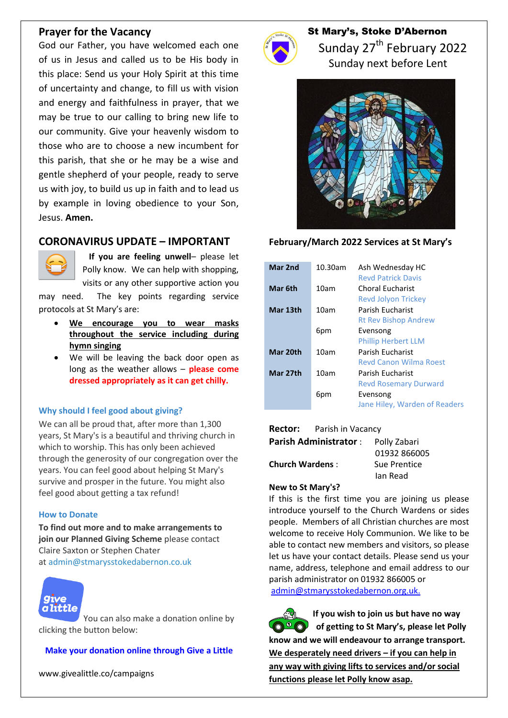## **Prayer for the Vacancy**

God our Father, you have welcomed each one of us in Jesus and called us to be His body in this place: Send us your Holy Spirit at this time of uncertainty and change, to fill us with vision and energy and faithfulness in prayer, that we may be true to our calling to bring new life to our community. Give your heavenly wisdom to those who are to choose a new incumbent for this parish, that she or he may be a wise and gentle shepherd of your people, ready to serve us with joy, to build us up in faith and to lead us by example in loving obedience to your Son, Jesus. **Amen.**

## **CORONAVIRUS UPDATE – IMPORTANT**



 **If you are feeling unwell**– please let Polly know. We can help with shopping, visits or any other supportive action you

may need. The key points regarding service protocols at St Mary's are:

- **We encourage you to wear masks throughout the service including during hymn singing**
- We will be leaving the back door open as long as the weather allows – **please come dressed appropriately as it can get chilly.**

#### **Why should I feel good about giving?**

We can all be proud that, after more than 1,300 years, St Mary's is a beautiful and thriving church in which to worship. This has only been achieved through the generosity of our congregation over the years. You can feel good about helping St Mary's survive and prosper in the future. You might also feel good about getting a tax refund!

#### **How to Donate**

**To find out more and to make arrangements to join our Planned Giving Scheme** please contact Claire Saxton or Stephen Chater at [admin@stmarysstokedabernon.co.uk](mailto:info@stmarysstokedabernon.co.uk)



[Y](https://givealittle.co/campaigns/7d65d2c5-4189-45f4-9027-11ecb5814414)ou can also make a donation online by clicking the button below:

#### **Make your [donation](https://givealittle.co/campaigns/7d65d2c5-4189-45f4-9027-11ecb5814414) online through Give a Little**

www.givealittle.co/campaigns



## St Mary's, Stoke D'Abernon

Sunday 27<sup>th</sup> February 2022 Sunday next before Lent



#### **February/March 2022 Services at St Mary's**

| Mar 2nd  | 10.30am | Ash Wednesday HC<br><b>Revd Patrick Davis</b>    |
|----------|---------|--------------------------------------------------|
| Mar 6th  | 10am    | Choral Fucharist<br><b>Revd Jolyon Trickey</b>   |
| Mar 13th | 10am    | Parish Fucharist<br><b>Rt Rev Bishop Andrew</b>  |
|          | 6pm     | Evensong<br><b>Phillip Herbert LLM</b>           |
| Mar 20th | 10am    | Parish Fucharist<br>Revd Canon Wilma Roest       |
| Mar 27th | 10am    | Parish Fucharist<br><b>Revd Rosemary Durward</b> |
|          | 6pm     | Evensong<br>Jane Hiley, Warden of Readers        |

#### **Rector:** Parish in Vacancy

| <b>Parish Administrator:</b> | Polly Zabari |
|------------------------------|--------------|
|                              | 01932 866005 |
| <b>Church Wardens:</b>       | Sue Prentice |
|                              | lan Read     |

#### **New to St Mary's?**

If this is the first time you are joining us please introduce yourself to the Church Wardens or sides people. Members of all Christian churches are most welcome to receive Holy Communion. We like to be able to contact new members and visitors, so please let us have your contact details. Please send us your name, address, telephone and email address to our parish administrator on 01932 866005 or [admin@stmarysstokedabernon.org.uk.](mailto:admin@stmarysstokedabernon.org.uk)

**If you wish to join us but have no way of getting to St Mary's, please let Polly know and we will endeavour to arrange transport. We desperately need drivers – if you can help in any way with giving lifts to services and/or social functions please let Polly know asap.**